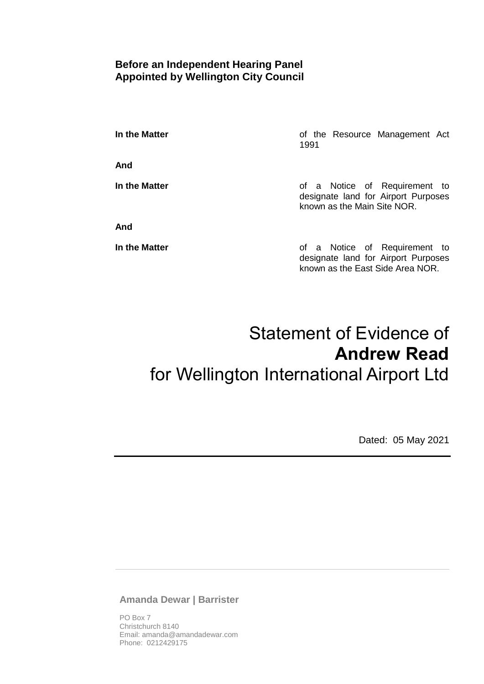# **Before an Independent Hearing Panel Appointed by Wellington City Council**

**In the Matter In the Matter of the Resource Management Act** 1991

**And**

**And**

**In the Matter In the Matter of a Notice of Requirement to** designate land for Airport Purposes known as the Main Site NOR.

**In the Matter In the Matter of a Notice of Requirement to** designate land for Airport Purposes known as the East Side Area NOR.

# Statement of Evidence of **Andrew Read** for Wellington International Airport Ltd

Dated: 05 May 2021

**Amanda Dewar | Barrister**

PO Box 7 Christchurch 8140 Email: amanda@amandadewar.com Phone: 0212429175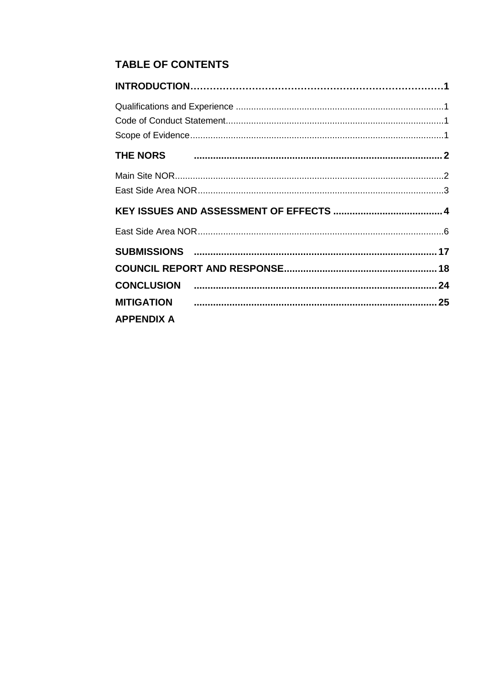# **TABLE OF CONTENTS**

|                   | MITIGATION 25 |
|-------------------|---------------|
| <b>APPENDIX A</b> |               |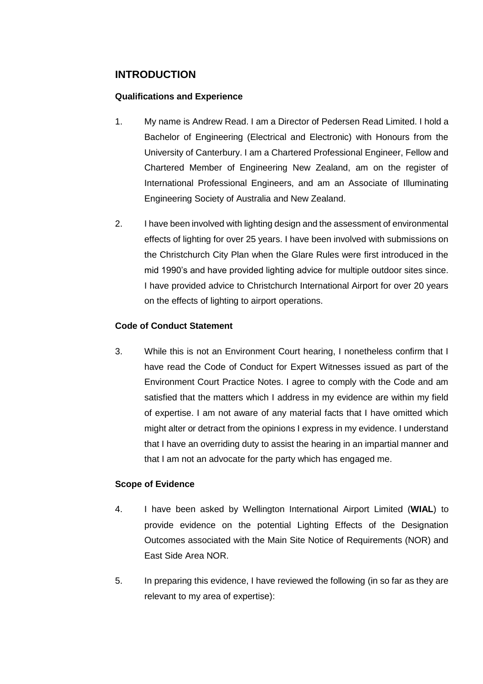# <span id="page-2-0"></span>**INTRODUCTION**

## <span id="page-2-1"></span>**Qualifications and Experience**

- 1. My name is Andrew Read. I am a Director of Pedersen Read Limited. I hold a Bachelor of Engineering (Electrical and Electronic) with Honours from the University of Canterbury. I am a Chartered Professional Engineer, Fellow and Chartered Member of Engineering New Zealand, am on the register of International Professional Engineers, and am an Associate of Illuminating Engineering Society of Australia and New Zealand.
- 2. I have been involved with lighting design and the assessment of environmental effects of lighting for over 25 years. I have been involved with submissions on the Christchurch City Plan when the Glare Rules were first introduced in the mid 1990's and have provided lighting advice for multiple outdoor sites since. I have provided advice to Christchurch International Airport for over 20 years on the effects of lighting to airport operations.

## <span id="page-2-2"></span>**Code of Conduct Statement**

3. While this is not an Environment Court hearing, I nonetheless confirm that I have read the Code of Conduct for Expert Witnesses issued as part of the Environment Court Practice Notes. I agree to comply with the Code and am satisfied that the matters which I address in my evidence are within my field of expertise. I am not aware of any material facts that I have omitted which might alter or detract from the opinions I express in my evidence. I understand that I have an overriding duty to assist the hearing in an impartial manner and that I am not an advocate for the party which has engaged me.

# <span id="page-2-3"></span>**Scope of Evidence**

- 4. I have been asked by Wellington International Airport Limited (**WIAL**) to provide evidence on the potential Lighting Effects of the Designation Outcomes associated with the Main Site Notice of Requirements (NOR) and East Side Area NOR.
- 5. In preparing this evidence, I have reviewed the following (in so far as they are relevant to my area of expertise):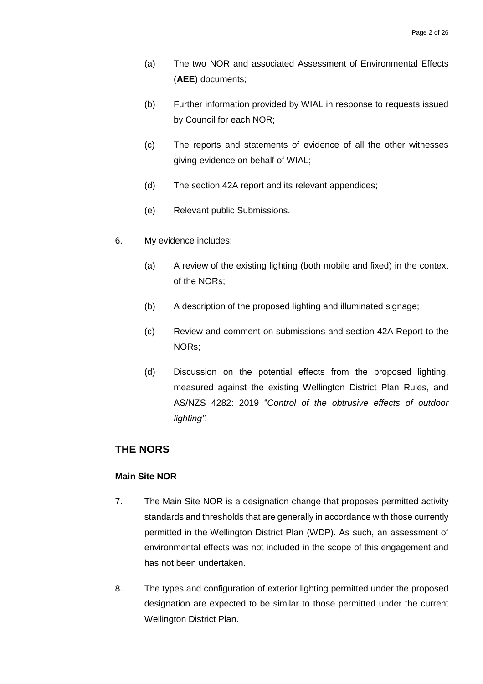- (a) The two NOR and associated Assessment of Environmental Effects (**AEE**) documents;
- (b) Further information provided by WIAL in response to requests issued by Council for each NOR;
- (c) The reports and statements of evidence of all the other witnesses giving evidence on behalf of WIAL;
- (d) The section 42A report and its relevant appendices;
- (e) Relevant public Submissions.
- 6. My evidence includes:
	- (a) A review of the existing lighting (both mobile and fixed) in the context of the NORs;
	- (b) A description of the proposed lighting and illuminated signage;
	- (c) Review and comment on submissions and section 42A Report to the NORs;
	- (d) Discussion on the potential effects from the proposed lighting, measured against the existing Wellington District Plan Rules, and AS/NZS 4282: 2019 "*Control of the obtrusive effects of outdoor lighting".*

# <span id="page-3-0"></span>**THE NORS**

#### <span id="page-3-1"></span>**Main Site NOR**

- 7. The Main Site NOR is a designation change that proposes permitted activity standards and thresholds that are generally in accordance with those currently permitted in the Wellington District Plan (WDP). As such, an assessment of environmental effects was not included in the scope of this engagement and has not been undertaken.
- 8. The types and configuration of exterior lighting permitted under the proposed designation are expected to be similar to those permitted under the current Wellington District Plan.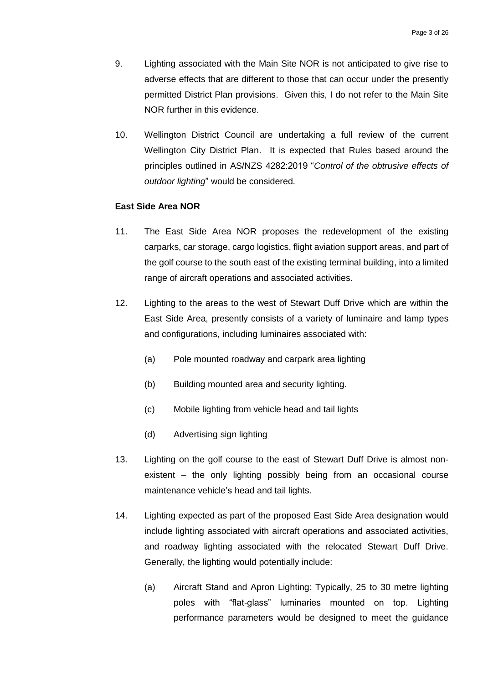- 9. Lighting associated with the Main Site NOR is not anticipated to give rise to adverse effects that are different to those that can occur under the presently permitted District Plan provisions. Given this, I do not refer to the Main Site NOR further in this evidence.
- 10. Wellington District Council are undertaking a full review of the current Wellington City District Plan. It is expected that Rules based around the principles outlined in AS/NZS 4282:2019 "*Control of the obtrusive effects of outdoor lighting*" would be considered.

#### <span id="page-4-0"></span>**East Side Area NOR**

- 11. The East Side Area NOR proposes the redevelopment of the existing carparks, car storage, cargo logistics, flight aviation support areas, and part of the golf course to the south east of the existing terminal building, into a limited range of aircraft operations and associated activities.
- 12. Lighting to the areas to the west of Stewart Duff Drive which are within the East Side Area, presently consists of a variety of luminaire and lamp types and configurations, including luminaires associated with:
	- (a) Pole mounted roadway and carpark area lighting
	- (b) Building mounted area and security lighting.
	- (c) Mobile lighting from vehicle head and tail lights
	- (d) Advertising sign lighting
- 13. Lighting on the golf course to the east of Stewart Duff Drive is almost nonexistent – the only lighting possibly being from an occasional course maintenance vehicle's head and tail lights.
- 14. Lighting expected as part of the proposed East Side Area designation would include lighting associated with aircraft operations and associated activities, and roadway lighting associated with the relocated Stewart Duff Drive. Generally, the lighting would potentially include:
	- (a) Aircraft Stand and Apron Lighting: Typically, 25 to 30 metre lighting poles with "flat-glass" luminaries mounted on top. Lighting performance parameters would be designed to meet the guidance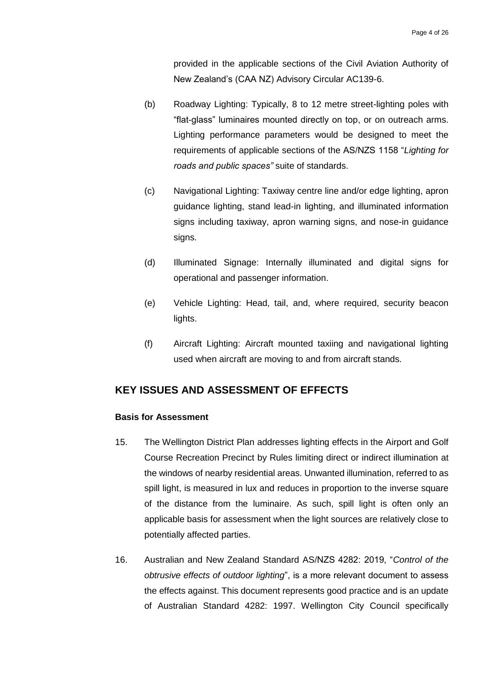provided in the applicable sections of the Civil Aviation Authority of New Zealand's (CAA NZ) Advisory Circular AC139-6.

- (b) Roadway Lighting: Typically, 8 to 12 metre street-lighting poles with "flat-glass" luminaires mounted directly on top, or on outreach arms. Lighting performance parameters would be designed to meet the requirements of applicable sections of the AS/NZS 1158 "*Lighting for roads and public spaces"* suite of standards.
- (c) Navigational Lighting: Taxiway centre line and/or edge lighting, apron guidance lighting, stand lead-in lighting, and illuminated information signs including taxiway, apron warning signs, and nose-in guidance signs.
- (d) Illuminated Signage: Internally illuminated and digital signs for operational and passenger information.
- (e) Vehicle Lighting: Head, tail, and, where required, security beacon lights.
- (f) Aircraft Lighting: Aircraft mounted taxiing and navigational lighting used when aircraft are moving to and from aircraft stands.

# <span id="page-5-0"></span>**KEY ISSUES AND ASSESSMENT OF EFFECTS**

#### **Basis for Assessment**

- 15. The Wellington District Plan addresses lighting effects in the Airport and Golf Course Recreation Precinct by Rules limiting direct or indirect illumination at the windows of nearby residential areas. Unwanted illumination, referred to as spill light, is measured in lux and reduces in proportion to the inverse square of the distance from the luminaire. As such, spill light is often only an applicable basis for assessment when the light sources are relatively close to potentially affected parties.
- 16. Australian and New Zealand Standard AS/NZS 4282: 2019, "*Control of the obtrusive effects of outdoor lighting*", is a more relevant document to assess the effects against. This document represents good practice and is an update of Australian Standard 4282: 1997. Wellington City Council specifically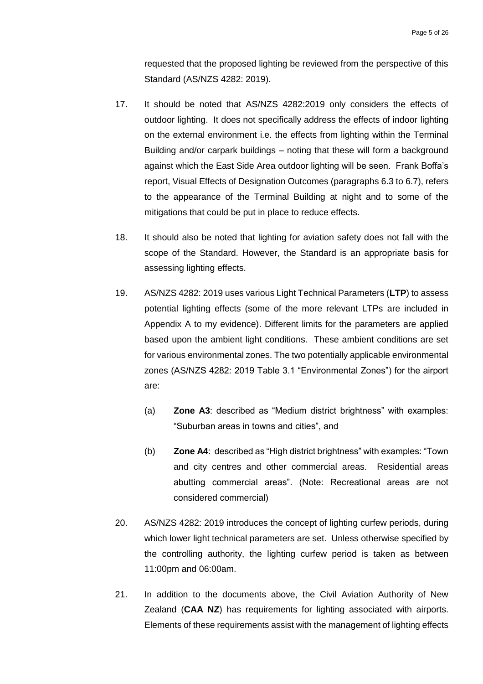requested that the proposed lighting be reviewed from the perspective of this Standard (AS/NZS 4282: 2019).

- 17. It should be noted that AS/NZS 4282:2019 only considers the effects of outdoor lighting. It does not specifically address the effects of indoor lighting on the external environment i.e. the effects from lighting within the Terminal Building and/or carpark buildings – noting that these will form a background against which the East Side Area outdoor lighting will be seen. Frank Boffa's report, Visual Effects of Designation Outcomes (paragraphs 6.3 to 6.7), refers to the appearance of the Terminal Building at night and to some of the mitigations that could be put in place to reduce effects.
- 18. It should also be noted that lighting for aviation safety does not fall with the scope of the Standard. However, the Standard is an appropriate basis for assessing lighting effects.
- 19. AS/NZS 4282: 2019 uses various Light Technical Parameters (**LTP**) to assess potential lighting effects (some of the more relevant LTPs are included in Appendix A to my evidence). Different limits for the parameters are applied based upon the ambient light conditions. These ambient conditions are set for various environmental zones. The two potentially applicable environmental zones (AS/NZS 4282: 2019 Table 3.1 "Environmental Zones") for the airport are:
	- (a) **Zone A3**: described as "Medium district brightness" with examples: "Suburban areas in towns and cities", and
	- (b) **Zone A4**: described as "High district brightness" with examples: "Town and city centres and other commercial areas. Residential areas abutting commercial areas". (Note: Recreational areas are not considered commercial)
- 20. AS/NZS 4282: 2019 introduces the concept of lighting curfew periods, during which lower light technical parameters are set. Unless otherwise specified by the controlling authority, the lighting curfew period is taken as between 11:00pm and 06:00am.
- 21. In addition to the documents above, the Civil Aviation Authority of New Zealand (**CAA NZ**) has requirements for lighting associated with airports. Elements of these requirements assist with the management of lighting effects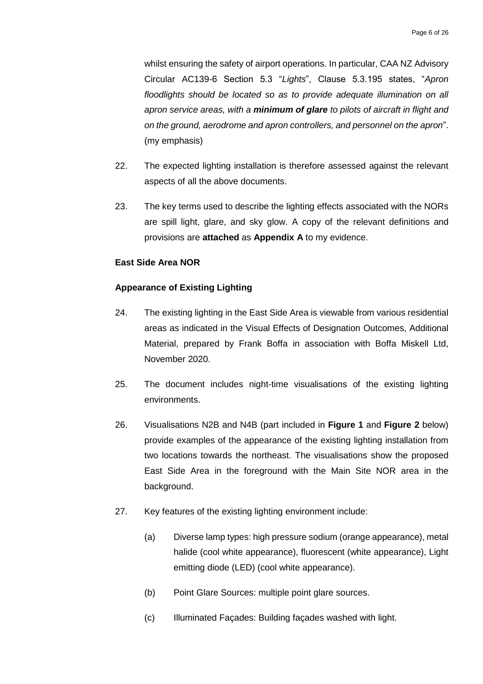whilst ensuring the safety of airport operations. In particular, CAA NZ Advisory Circular AC139-6 Section 5.3 "*Lights*", Clause 5.3.195 states, "*Apron floodlights should be located so as to provide adequate illumination on all apron service areas, with a minimum of glare to pilots of aircraft in flight and on the ground, aerodrome and apron controllers, and personnel on the apron*". (my emphasis)

- 22. The expected lighting installation is therefore assessed against the relevant aspects of all the above documents.
- 23. The key terms used to describe the lighting effects associated with the NORs are spill light, glare, and sky glow. A copy of the relevant definitions and provisions are **attached** as **Appendix A** to my evidence.

#### <span id="page-7-0"></span>**East Side Area NOR**

#### **Appearance of Existing Lighting**

- 24. The existing lighting in the East Side Area is viewable from various residential areas as indicated in the Visual Effects of Designation Outcomes, Additional Material, prepared by Frank Boffa in association with Boffa Miskell Ltd, November 2020.
- 25. The document includes night-time visualisations of the existing lighting environments.
- 26. Visualisations N2B and N4B (part included in **[Figure 1](#page-8-0)** and **[Figure](#page-8-1) 2** below) provide examples of the appearance of the existing lighting installation from two locations towards the northeast. The visualisations show the proposed East Side Area in the foreground with the Main Site NOR area in the background.
- 27. Key features of the existing lighting environment include:
	- (a) Diverse lamp types: high pressure sodium (orange appearance), metal halide (cool white appearance), fluorescent (white appearance), Light emitting diode (LED) (cool white appearance).
	- (b) Point Glare Sources: multiple point glare sources.
	- (c) Illuminated Façades: Building façades washed with light.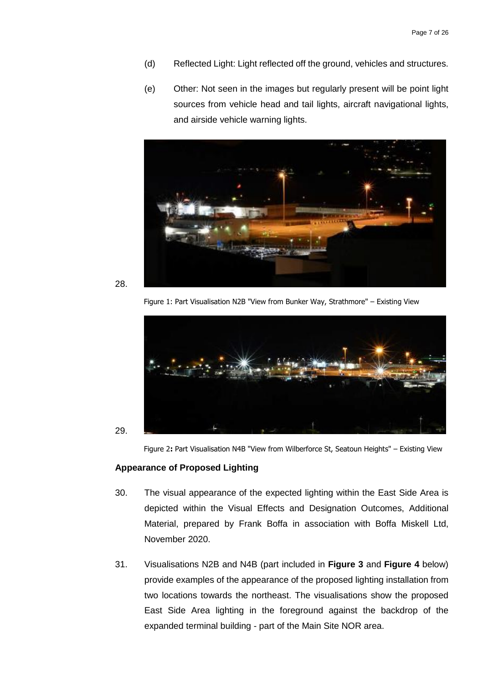- (d) Reflected Light: Light reflected off the ground, vehicles and structures.
- (e) Other: Not seen in the images but regularly present will be point light sources from vehicle head and tail lights, aircraft navigational lights, and airside vehicle warning lights.



<span id="page-8-0"></span>

<span id="page-8-1"></span>29.

Figure 1: Part Visualisation N2B "View from Bunker Way, Strathmore" – Existing View



Figure 2**:** Part Visualisation N4B "View from Wilberforce St, Seatoun Heights" – Existing View

#### **Appearance of Proposed Lighting**

- 30. The visual appearance of the expected lighting within the East Side Area is depicted within the Visual Effects and Designation Outcomes, Additional Material, prepared by Frank Boffa in association with Boffa Miskell Ltd, November 2020.
- 31. Visualisations N2B and N4B (part included in **[Figure 3](#page-9-0)** and **[Figure 4](#page-9-1)** below) provide examples of the appearance of the proposed lighting installation from two locations towards the northeast. The visualisations show the proposed East Side Area lighting in the foreground against the backdrop of the expanded terminal building - part of the Main Site NOR area.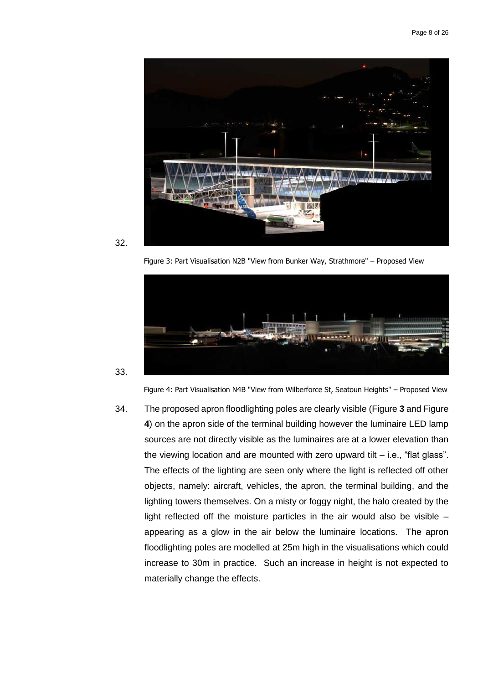

<span id="page-9-0"></span>

Figure 3: Part Visualisation N2B "View from Bunker Way, Strathmore" – Proposed View



<span id="page-9-1"></span>33.

Figure 4: Part Visualisation N4B "View from Wilberforce St, Seatoun Heights" – Proposed View

34. The proposed apron floodlighting poles are clearly visible [\(Figure](#page-9-0) **3** an[d Figure](#page-9-1)  **[4](#page-9-1)**) on the apron side of the terminal building however the luminaire LED lamp sources are not directly visible as the luminaires are at a lower elevation than the viewing location and are mounted with zero upward tilt – i.e., "flat glass". The effects of the lighting are seen only where the light is reflected off other objects, namely: aircraft, vehicles, the apron, the terminal building, and the lighting towers themselves. On a misty or foggy night, the halo created by the light reflected off the moisture particles in the air would also be visible – appearing as a glow in the air below the luminaire locations. The apron floodlighting poles are modelled at 25m high in the visualisations which could increase to 30m in practice. Such an increase in height is not expected to materially change the effects.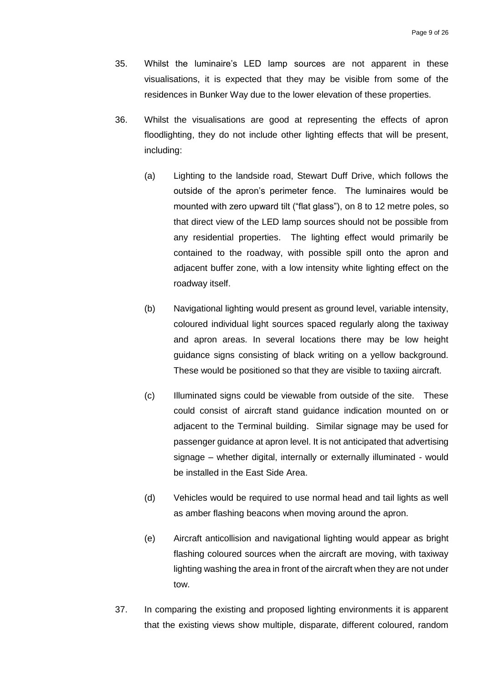- 35. Whilst the luminaire's LED lamp sources are not apparent in these visualisations, it is expected that they may be visible from some of the residences in Bunker Way due to the lower elevation of these properties.
- 36. Whilst the visualisations are good at representing the effects of apron floodlighting, they do not include other lighting effects that will be present, including:
	- (a) Lighting to the landside road, Stewart Duff Drive, which follows the outside of the apron's perimeter fence. The luminaires would be mounted with zero upward tilt ("flat glass"), on 8 to 12 metre poles, so that direct view of the LED lamp sources should not be possible from any residential properties. The lighting effect would primarily be contained to the roadway, with possible spill onto the apron and adjacent buffer zone, with a low intensity white lighting effect on the roadway itself.
	- (b) Navigational lighting would present as ground level, variable intensity, coloured individual light sources spaced regularly along the taxiway and apron areas. In several locations there may be low height guidance signs consisting of black writing on a yellow background. These would be positioned so that they are visible to taxiing aircraft.
	- (c) Illuminated signs could be viewable from outside of the site. These could consist of aircraft stand guidance indication mounted on or adjacent to the Terminal building. Similar signage may be used for passenger guidance at apron level. It is not anticipated that advertising signage – whether digital, internally or externally illuminated - would be installed in the East Side Area.
	- (d) Vehicles would be required to use normal head and tail lights as well as amber flashing beacons when moving around the apron.
	- (e) Aircraft anticollision and navigational lighting would appear as bright flashing coloured sources when the aircraft are moving, with taxiway lighting washing the area in front of the aircraft when they are not under tow.
- 37. In comparing the existing and proposed lighting environments it is apparent that the existing views show multiple, disparate, different coloured, random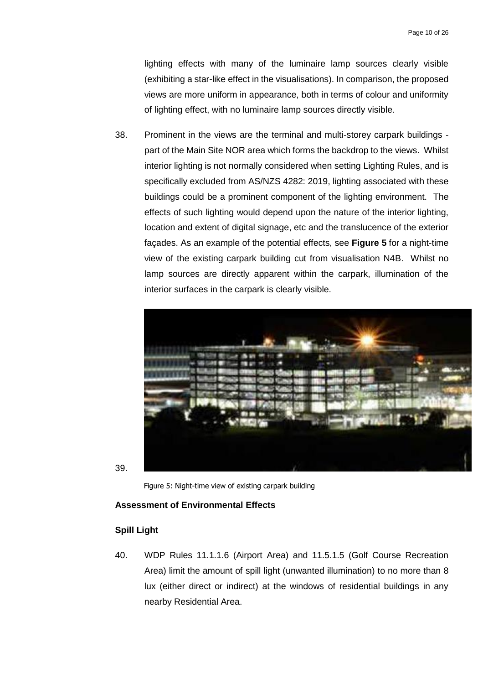lighting effects with many of the luminaire lamp sources clearly visible (exhibiting a star-like effect in the visualisations). In comparison, the proposed views are more uniform in appearance, both in terms of colour and uniformity of lighting effect, with no luminaire lamp sources directly visible.

38. Prominent in the views are the terminal and multi-storey carpark buildings part of the Main Site NOR area which forms the backdrop to the views. Whilst interior lighting is not normally considered when setting Lighting Rules, and is specifically excluded from AS/NZS 4282: 2019, lighting associated with these buildings could be a prominent component of the lighting environment. The effects of such lighting would depend upon the nature of the interior lighting, location and extent of digital signage, etc and the translucence of the exterior façades. As an example of the potential effects, see **[Figure 5](#page-11-0)** for a night-time view of the existing carpark building cut from visualisation N4B. Whilst no lamp sources are directly apparent within the carpark, illumination of the interior surfaces in the carpark is clearly visible.



<span id="page-11-0"></span>39.

Figure 5: Night-time view of existing carpark building

#### **Assessment of Environmental Effects**

#### **Spill Light**

40. WDP Rules 11.1.1.6 (Airport Area) and 11.5.1.5 (Golf Course Recreation Area) limit the amount of spill light (unwanted illumination) to no more than 8 lux (either direct or indirect) at the windows of residential buildings in any nearby Residential Area.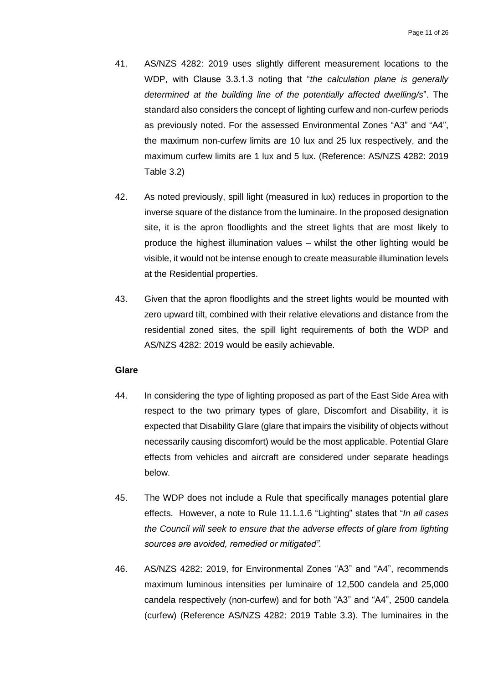- 41. AS/NZS 4282: 2019 uses slightly different measurement locations to the WDP, with Clause 3.3.1.3 noting that "*the calculation plane is generally determined at the building line of the potentially affected dwelling/s*". The standard also considers the concept of lighting curfew and non-curfew periods as previously noted. For the assessed Environmental Zones "A3" and "A4", the maximum non-curfew limits are 10 lux and 25 lux respectively, and the maximum curfew limits are 1 lux and 5 lux. (Reference: AS/NZS 4282: 2019 Table 3.2)
- 42. As noted previously, spill light (measured in lux) reduces in proportion to the inverse square of the distance from the luminaire. In the proposed designation site, it is the apron floodlights and the street lights that are most likely to produce the highest illumination values – whilst the other lighting would be visible, it would not be intense enough to create measurable illumination levels at the Residential properties.
- 43. Given that the apron floodlights and the street lights would be mounted with zero upward tilt, combined with their relative elevations and distance from the residential zoned sites, the spill light requirements of both the WDP and AS/NZS 4282: 2019 would be easily achievable.

## **Glare**

- 44. In considering the type of lighting proposed as part of the East Side Area with respect to the two primary types of glare, Discomfort and Disability, it is expected that Disability Glare (glare that impairs the visibility of objects without necessarily causing discomfort) would be the most applicable. Potential Glare effects from vehicles and aircraft are considered under separate headings below.
- 45. The WDP does not include a Rule that specifically manages potential glare effects. However, a note to Rule 11.1.1.6 "Lighting" states that "*In all cases the Council will seek to ensure that the adverse effects of glare from lighting sources are avoided, remedied or mitigated".*
- 46. AS/NZS 4282: 2019, for Environmental Zones "A3" and "A4", recommends maximum luminous intensities per luminaire of 12,500 candela and 25,000 candela respectively (non-curfew) and for both "A3" and "A4", 2500 candela (curfew) (Reference AS/NZS 4282: 2019 Table 3.3). The luminaires in the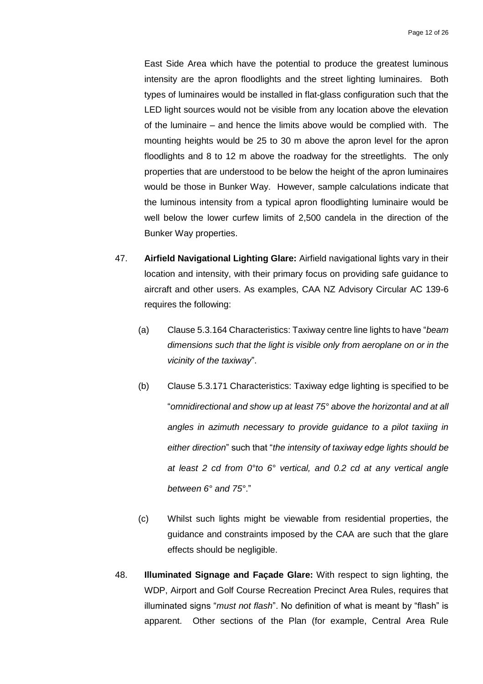East Side Area which have the potential to produce the greatest luminous intensity are the apron floodlights and the street lighting luminaires. Both types of luminaires would be installed in flat-glass configuration such that the LED light sources would not be visible from any location above the elevation of the luminaire – and hence the limits above would be complied with. The mounting heights would be 25 to 30 m above the apron level for the apron floodlights and 8 to 12 m above the roadway for the streetlights. The only properties that are understood to be below the height of the apron luminaires would be those in Bunker Way. However, sample calculations indicate that the luminous intensity from a typical apron floodlighting luminaire would be well below the lower curfew limits of 2,500 candela in the direction of the Bunker Way properties.

- 47. **Airfield Navigational Lighting Glare:** Airfield navigational lights vary in their location and intensity, with their primary focus on providing safe guidance to aircraft and other users. As examples, CAA NZ Advisory Circular AC 139-6 requires the following:
	- (a) Clause 5.3.164 Characteristics: Taxiway centre line lights to have "*beam dimensions such that the light is visible only from aeroplane on or in the vicinity of the taxiway*".
	- (b) Clause 5.3.171 Characteristics: Taxiway edge lighting is specified to be "*omnidirectional and show up at least 75° above the horizontal and at all angles in azimuth necessary to provide guidance to a pilot taxiing in either direction*" such that "*the intensity of taxiway edge lights should be at least 2 cd from 0°to 6° vertical, and 0.2 cd at any vertical angle between 6° and 75°*."
	- (c) Whilst such lights might be viewable from residential properties, the guidance and constraints imposed by the CAA are such that the glare effects should be negligible.
- 48. **Illuminated Signage and Façade Glare:** With respect to sign lighting, the WDP, Airport and Golf Course Recreation Precinct Area Rules, requires that illuminated signs "*must not flash*". No definition of what is meant by "flash" is apparent. Other sections of the Plan (for example, Central Area Rule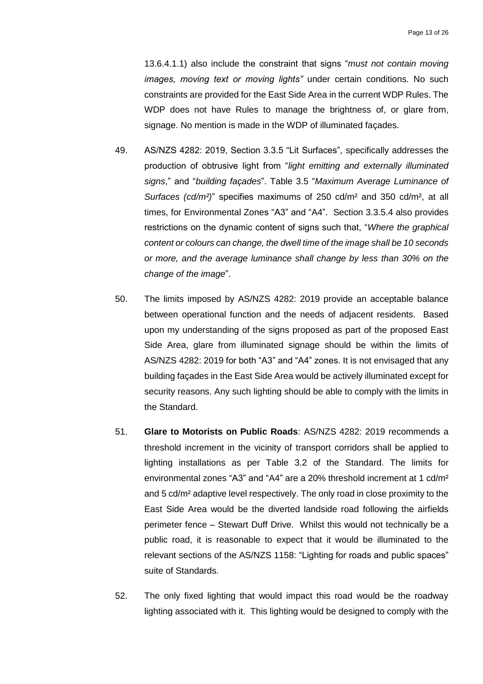13.6.4.1.1) also include the constraint that signs "*must not contain moving images, moving text or moving lights"* under certain conditions. No such constraints are provided for the East Side Area in the current WDP Rules. The WDP does not have Rules to manage the brightness of, or glare from, signage. No mention is made in the WDP of illuminated façades.

- 49. AS/NZS 4282: 2019, Section 3.3.5 "Lit Surfaces", specifically addresses the production of obtrusive light from "*light emitting and externally illuminated signs*," and "*building façades*". Table 3.5 "*Maximum Average Luminance of Surfaces (cd/m²)*" specifies maximums of 250 cd/m² and 350 cd/m², at all times, for Environmental Zones "A3" and "A4". Section 3.3.5.4 also provides restrictions on the dynamic content of signs such that, "*Where the graphical content or colours can change, the dwell time of the image shall be 10 seconds or more, and the average luminance shall change by less than 30% on the change of the image*".
- 50. The limits imposed by AS/NZS 4282: 2019 provide an acceptable balance between operational function and the needs of adjacent residents. Based upon my understanding of the signs proposed as part of the proposed East Side Area, glare from illuminated signage should be within the limits of AS/NZS 4282: 2019 for both "A3" and "A4" zones. It is not envisaged that any building façades in the East Side Area would be actively illuminated except for security reasons. Any such lighting should be able to comply with the limits in the Standard.
- 51. **Glare to Motorists on Public Roads**: AS/NZS 4282: 2019 recommends a threshold increment in the vicinity of transport corridors shall be applied to lighting installations as per Table 3.2 of the Standard. The limits for environmental zones "A3" and "A4" are a 20% threshold increment at 1 cd/m² and 5 cd/m² adaptive level respectively. The only road in close proximity to the East Side Area would be the diverted landside road following the airfields perimeter fence – Stewart Duff Drive. Whilst this would not technically be a public road, it is reasonable to expect that it would be illuminated to the relevant sections of the AS/NZS 1158: "Lighting for roads and public spaces" suite of Standards.
- 52. The only fixed lighting that would impact this road would be the roadway lighting associated with it. This lighting would be designed to comply with the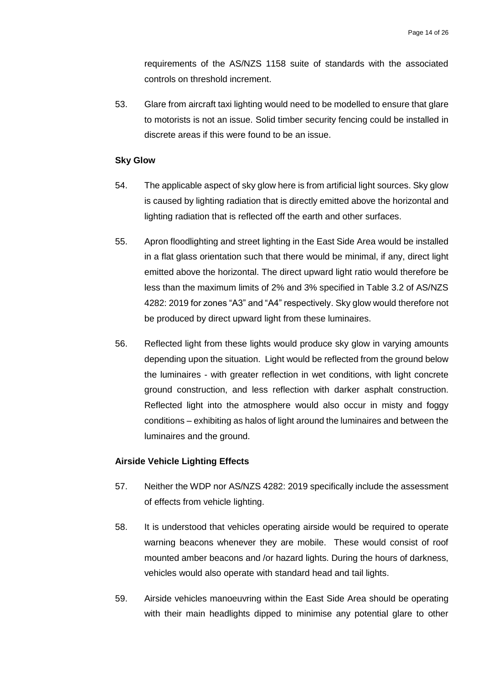requirements of the AS/NZS 1158 suite of standards with the associated controls on threshold increment.

53. Glare from aircraft taxi lighting would need to be modelled to ensure that glare to motorists is not an issue. Solid timber security fencing could be installed in discrete areas if this were found to be an issue.

#### **Sky Glow**

- 54. The applicable aspect of sky glow here is from artificial light sources. Sky glow is caused by lighting radiation that is directly emitted above the horizontal and lighting radiation that is reflected off the earth and other surfaces.
- 55. Apron floodlighting and street lighting in the East Side Area would be installed in a flat glass orientation such that there would be minimal, if any, direct light emitted above the horizontal. The direct upward light ratio would therefore be less than the maximum limits of 2% and 3% specified in Table 3.2 of AS/NZS 4282: 2019 for zones "A3" and "A4" respectively. Sky glow would therefore not be produced by direct upward light from these luminaires.
- 56. Reflected light from these lights would produce sky glow in varying amounts depending upon the situation. Light would be reflected from the ground below the luminaires - with greater reflection in wet conditions, with light concrete ground construction, and less reflection with darker asphalt construction. Reflected light into the atmosphere would also occur in misty and foggy conditions – exhibiting as halos of light around the luminaires and between the luminaires and the ground.

#### **Airside Vehicle Lighting Effects**

- 57. Neither the WDP nor AS/NZS 4282: 2019 specifically include the assessment of effects from vehicle lighting.
- 58. It is understood that vehicles operating airside would be required to operate warning beacons whenever they are mobile. These would consist of roof mounted amber beacons and /or hazard lights. During the hours of darkness, vehicles would also operate with standard head and tail lights.
- 59. Airside vehicles manoeuvring within the East Side Area should be operating with their main headlights dipped to minimise any potential glare to other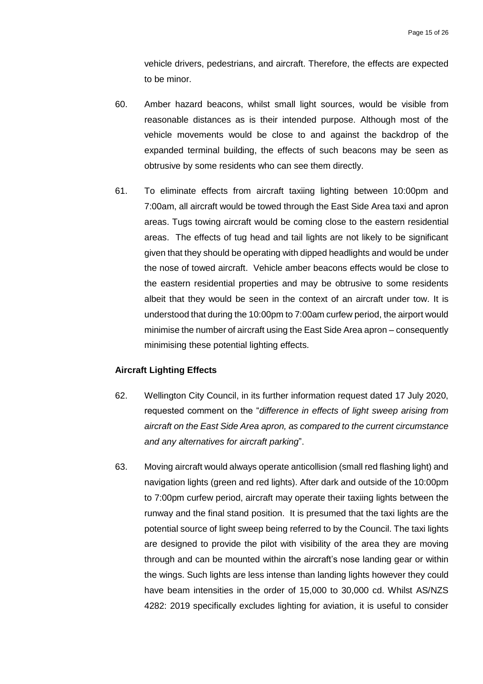vehicle drivers, pedestrians, and aircraft. Therefore, the effects are expected to be minor.

- 60. Amber hazard beacons, whilst small light sources, would be visible from reasonable distances as is their intended purpose. Although most of the vehicle movements would be close to and against the backdrop of the expanded terminal building, the effects of such beacons may be seen as obtrusive by some residents who can see them directly.
- 61. To eliminate effects from aircraft taxiing lighting between 10:00pm and 7:00am, all aircraft would be towed through the East Side Area taxi and apron areas. Tugs towing aircraft would be coming close to the eastern residential areas. The effects of tug head and tail lights are not likely to be significant given that they should be operating with dipped headlights and would be under the nose of towed aircraft. Vehicle amber beacons effects would be close to the eastern residential properties and may be obtrusive to some residents albeit that they would be seen in the context of an aircraft under tow. It is understood that during the 10:00pm to 7:00am curfew period, the airport would minimise the number of aircraft using the East Side Area apron – consequently minimising these potential lighting effects.

#### **Aircraft Lighting Effects**

- 62. Wellington City Council, in its further information request dated 17 July 2020, requested comment on the "*difference in effects of light sweep arising from aircraft on the East Side Area apron, as compared to the current circumstance and any alternatives for aircraft parking*".
- 63. Moving aircraft would always operate anticollision (small red flashing light) and navigation lights (green and red lights). After dark and outside of the 10:00pm to 7:00pm curfew period, aircraft may operate their taxiing lights between the runway and the final stand position. It is presumed that the taxi lights are the potential source of light sweep being referred to by the Council. The taxi lights are designed to provide the pilot with visibility of the area they are moving through and can be mounted within the aircraft's nose landing gear or within the wings. Such lights are less intense than landing lights however they could have beam intensities in the order of 15,000 to 30,000 cd. Whilst AS/NZS 4282: 2019 specifically excludes lighting for aviation, it is useful to consider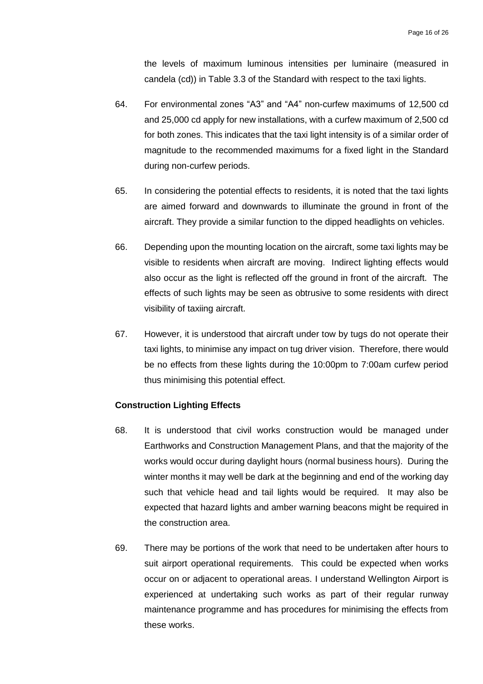the levels of maximum luminous intensities per luminaire (measured in candela (cd)) in Table 3.3 of the Standard with respect to the taxi lights.

- 64. For environmental zones "A3" and "A4" non-curfew maximums of 12,500 cd and 25,000 cd apply for new installations, with a curfew maximum of 2,500 cd for both zones. This indicates that the taxi light intensity is of a similar order of magnitude to the recommended maximums for a fixed light in the Standard during non-curfew periods.
- 65. In considering the potential effects to residents, it is noted that the taxi lights are aimed forward and downwards to illuminate the ground in front of the aircraft. They provide a similar function to the dipped headlights on vehicles.
- 66. Depending upon the mounting location on the aircraft, some taxi lights may be visible to residents when aircraft are moving. Indirect lighting effects would also occur as the light is reflected off the ground in front of the aircraft. The effects of such lights may be seen as obtrusive to some residents with direct visibility of taxiing aircraft.
- 67. However, it is understood that aircraft under tow by tugs do not operate their taxi lights, to minimise any impact on tug driver vision. Therefore, there would be no effects from these lights during the 10:00pm to 7:00am curfew period thus minimising this potential effect.

#### **Construction Lighting Effects**

- 68. It is understood that civil works construction would be managed under Earthworks and Construction Management Plans, and that the majority of the works would occur during daylight hours (normal business hours). During the winter months it may well be dark at the beginning and end of the working day such that vehicle head and tail lights would be required. It may also be expected that hazard lights and amber warning beacons might be required in the construction area.
- 69. There may be portions of the work that need to be undertaken after hours to suit airport operational requirements. This could be expected when works occur on or adjacent to operational areas. I understand Wellington Airport is experienced at undertaking such works as part of their regular runway maintenance programme and has procedures for minimising the effects from these works.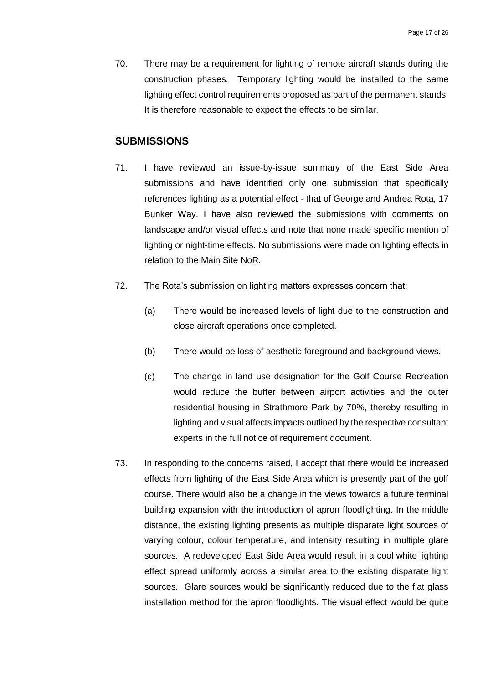70. There may be a requirement for lighting of remote aircraft stands during the construction phases. Temporary lighting would be installed to the same lighting effect control requirements proposed as part of the permanent stands. It is therefore reasonable to expect the effects to be similar.

# <span id="page-18-0"></span>**SUBMISSIONS**

- 71. I have reviewed an issue-by-issue summary of the East Side Area submissions and have identified only one submission that specifically references lighting as a potential effect - that of George and Andrea Rota, 17 Bunker Way. I have also reviewed the submissions with comments on landscape and/or visual effects and note that none made specific mention of lighting or night-time effects. No submissions were made on lighting effects in relation to the Main Site NoR.
- 72. The Rota's submission on lighting matters expresses concern that:
	- (a) There would be increased levels of light due to the construction and close aircraft operations once completed.
	- (b) There would be loss of aesthetic foreground and background views.
	- (c) The change in land use designation for the Golf Course Recreation would reduce the buffer between airport activities and the outer residential housing in Strathmore Park by 70%, thereby resulting in lighting and visual affects impacts outlined by the respective consultant experts in the full notice of requirement document.
- 73. In responding to the concerns raised, I accept that there would be increased effects from lighting of the East Side Area which is presently part of the golf course. There would also be a change in the views towards a future terminal building expansion with the introduction of apron floodlighting. In the middle distance, the existing lighting presents as multiple disparate light sources of varying colour, colour temperature, and intensity resulting in multiple glare sources. A redeveloped East Side Area would result in a cool white lighting effect spread uniformly across a similar area to the existing disparate light sources. Glare sources would be significantly reduced due to the flat glass installation method for the apron floodlights. The visual effect would be quite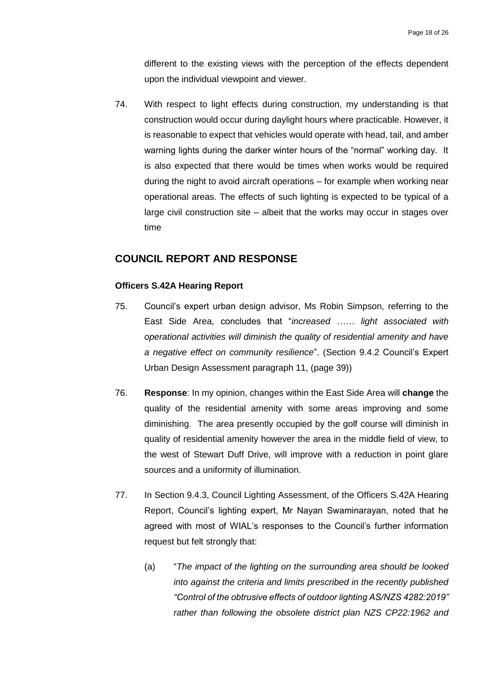different to the existing views with the perception of the effects dependent upon the individual viewpoint and viewer.

74. With respect to light effects during construction, my understanding is that construction would occur during daylight hours where practicable. However, it is reasonable to expect that vehicles would operate with head, tail, and amber warning lights during the darker winter hours of the "normal" working day. It is also expected that there would be times when works would be required during the night to avoid aircraft operations – for example when working near operational areas. The effects of such lighting is expected to be typical of a large civil construction site – albeit that the works may occur in stages over time

# <span id="page-19-0"></span>**COUNCIL REPORT AND RESPONSE**

#### **Officers S.42A Hearing Report**

- 75. Council's expert urban design advisor, Ms Robin Simpson, referring to the East Side Area, concludes that "*increased …… light associated with operational activities will diminish the quality of residential amenity and have a negative effect on community resilience*". (Section 9.4.2 Council's Expert Urban Design Assessment paragraph 11, (page 39))
- 76. **Response**: In my opinion, changes within the East Side Area will **change** the quality of the residential amenity with some areas improving and some diminishing. The area presently occupied by the golf course will diminish in quality of residential amenity however the area in the middle field of view, to the west of Stewart Duff Drive, will improve with a reduction in point glare sources and a uniformity of illumination.
- 77. In Section 9.4.3, Council Lighting Assessment, of the Officers S.42A Hearing Report, Council's lighting expert, Mr Nayan Swaminarayan, noted that he agreed with most of WIAL's responses to the Council's further information request but felt strongly that:
	- (a) "*The impact of the lighting on the surrounding area should be looked into against the criteria and limits prescribed in the recently published "Control of the obtrusive effects of outdoor lighting AS/NZS 4282:2019" rather than following the obsolete district plan NZS CP22:1962 and*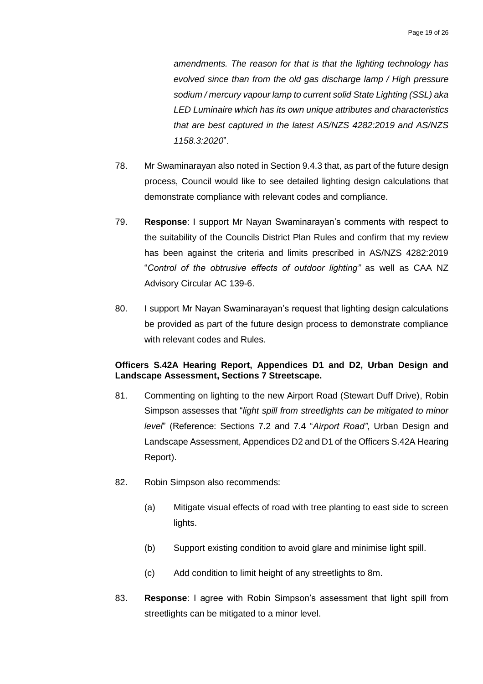*amendments. The reason for that is that the lighting technology has evolved since than from the old gas discharge lamp / High pressure sodium / mercury vapour lamp to current solid State Lighting (SSL) aka LED Luminaire which has its own unique attributes and characteristics that are best captured in the latest AS/NZS 4282:2019 and AS/NZS 1158.3:2020*".

- 78. Mr Swaminarayan also noted in Section 9.4.3 that, as part of the future design process, Council would like to see detailed lighting design calculations that demonstrate compliance with relevant codes and compliance.
- 79. **Response**: I support Mr Nayan Swaminarayan's comments with respect to the suitability of the Councils District Plan Rules and confirm that my review has been against the criteria and limits prescribed in AS/NZS 4282:2019 "*Control of the obtrusive effects of outdoor lighting"* as well as CAA NZ Advisory Circular AC 139-6.
- 80. I support Mr Nayan Swaminarayan's request that lighting design calculations be provided as part of the future design process to demonstrate compliance with relevant codes and Rules.

#### **Officers S.42A Hearing Report, Appendices D1 and D2, Urban Design and Landscape Assessment, Sections 7 Streetscape.**

- 81. Commenting on lighting to the new Airport Road (Stewart Duff Drive), Robin Simpson assesses that "*light spill from streetlights can be mitigated to minor level*" (Reference: Sections 7.2 and 7.4 "*Airport Road"*, Urban Design and Landscape Assessment, Appendices D2 and D1 of the Officers S.42A Hearing Report).
- 82. Robin Simpson also recommends:
	- (a) Mitigate visual effects of road with tree planting to east side to screen lights.
	- (b) Support existing condition to avoid glare and minimise light spill.
	- (c) Add condition to limit height of any streetlights to 8m.
- 83. **Response**: I agree with Robin Simpson's assessment that light spill from streetlights can be mitigated to a minor level.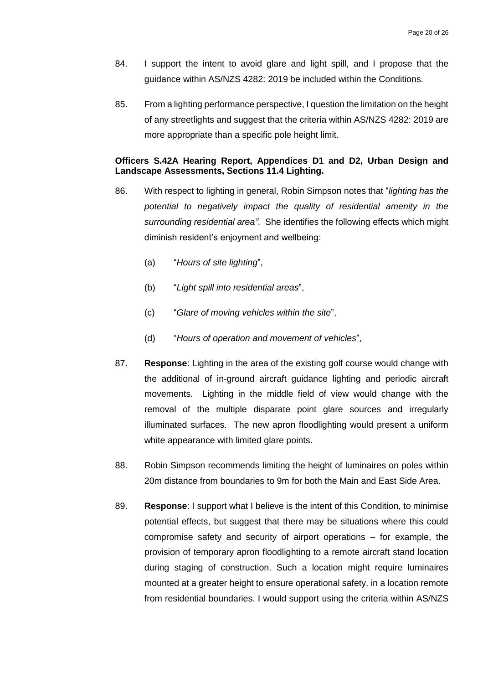- 84. I support the intent to avoid glare and light spill, and I propose that the guidance within AS/NZS 4282: 2019 be included within the Conditions.
- 85. From a lighting performance perspective, I question the limitation on the height of any streetlights and suggest that the criteria within AS/NZS 4282: 2019 are more appropriate than a specific pole height limit.

#### **Officers S.42A Hearing Report, Appendices D1 and D2, Urban Design and Landscape Assessments, Sections 11.4 Lighting.**

- 86. With respect to lighting in general, Robin Simpson notes that "*lighting has the potential to negatively impact the quality of residential amenity in the surrounding residential area"*. She identifies the following effects which might diminish resident's enjoyment and wellbeing:
	- (a) "*Hours of site lighting*",
	- (b) "*Light spill into residential areas*",
	- (c) "*Glare of moving vehicles within the site*",
	- (d) "*Hours of operation and movement of vehicles*",
- 87. **Response**: Lighting in the area of the existing golf course would change with the additional of in-ground aircraft guidance lighting and periodic aircraft movements. Lighting in the middle field of view would change with the removal of the multiple disparate point glare sources and irregularly illuminated surfaces. The new apron floodlighting would present a uniform white appearance with limited glare points.
- 88. Robin Simpson recommends limiting the height of luminaires on poles within 20m distance from boundaries to 9m for both the Main and East Side Area.
- 89. **Response**: I support what I believe is the intent of this Condition, to minimise potential effects, but suggest that there may be situations where this could compromise safety and security of airport operations – for example, the provision of temporary apron floodlighting to a remote aircraft stand location during staging of construction. Such a location might require luminaires mounted at a greater height to ensure operational safety, in a location remote from residential boundaries. I would support using the criteria within AS/NZS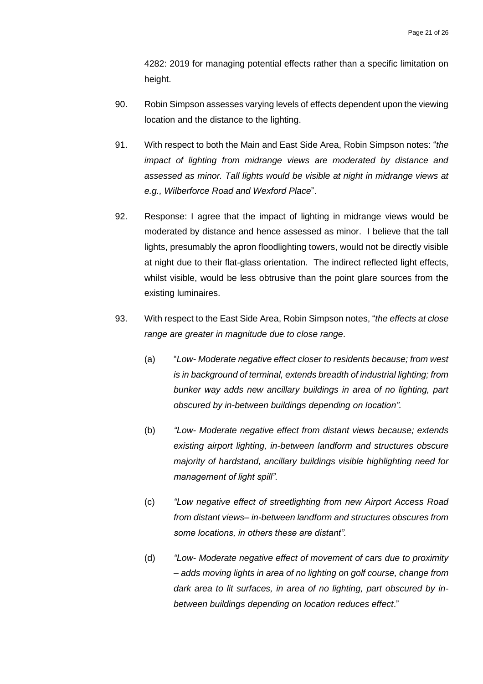4282: 2019 for managing potential effects rather than a specific limitation on height.

- 90. Robin Simpson assesses varying levels of effects dependent upon the viewing location and the distance to the lighting.
- 91. With respect to both the Main and East Side Area, Robin Simpson notes: "*the impact of lighting from midrange views are moderated by distance and assessed as minor. Tall lights would be visible at night in midrange views at e.g., Wilberforce Road and Wexford Place*".
- 92. Response: I agree that the impact of lighting in midrange views would be moderated by distance and hence assessed as minor. I believe that the tall lights, presumably the apron floodlighting towers, would not be directly visible at night due to their flat-glass orientation. The indirect reflected light effects, whilst visible, would be less obtrusive than the point glare sources from the existing luminaires.
- 93. With respect to the East Side Area, Robin Simpson notes, "*the effects at close range are greater in magnitude due to close range*.
	- (a) "*Low- Moderate negative effect closer to residents because; from west is in background of terminal, extends breadth of industrial lighting; from bunker way adds new ancillary buildings in area of no lighting, part obscured by in-between buildings depending on location".*
	- (b) *"Low- Moderate negative effect from distant views because; extends existing airport lighting, in-between landform and structures obscure majority of hardstand, ancillary buildings visible highlighting need for management of light spill".*
	- (c) *"Low negative effect of streetlighting from new Airport Access Road from distant views– in-between landform and structures obscures from some locations, in others these are distant".*
	- (d) *"Low- Moderate negative effect of movement of cars due to proximity – adds moving lights in area of no lighting on golf course, change from dark area to lit surfaces, in area of no lighting, part obscured by inbetween buildings depending on location reduces effect*."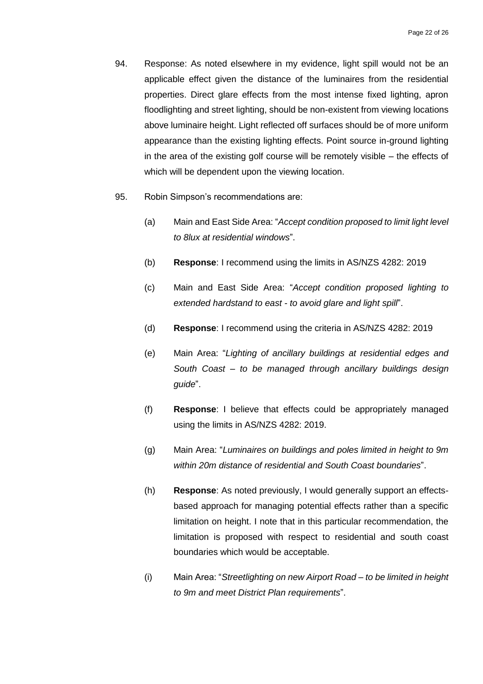- 94. Response: As noted elsewhere in my evidence, light spill would not be an applicable effect given the distance of the luminaires from the residential properties. Direct glare effects from the most intense fixed lighting, apron floodlighting and street lighting, should be non-existent from viewing locations above luminaire height. Light reflected off surfaces should be of more uniform appearance than the existing lighting effects. Point source in-ground lighting in the area of the existing golf course will be remotely visible – the effects of which will be dependent upon the viewing location.
- 95. Robin Simpson's recommendations are:
	- (a) Main and East Side Area: "*Accept condition proposed to limit light level to 8lux at residential windows*".
	- (b) **Response**: I recommend using the limits in AS/NZS 4282: 2019
	- (c) Main and East Side Area: "*Accept condition proposed lighting to extended hardstand to east - to avoid glare and light spill*".
	- (d) **Response**: I recommend using the criteria in AS/NZS 4282: 2019
	- (e) Main Area: "*Lighting of ancillary buildings at residential edges and South Coast – to be managed through ancillary buildings design guide*".
	- (f) **Response**: I believe that effects could be appropriately managed using the limits in AS/NZS 4282: 2019.
	- (g) Main Area: "*Luminaires on buildings and poles limited in height to 9m within 20m distance of residential and South Coast boundaries*".
	- (h) **Response**: As noted previously, I would generally support an effectsbased approach for managing potential effects rather than a specific limitation on height. I note that in this particular recommendation, the limitation is proposed with respect to residential and south coast boundaries which would be acceptable.
	- (i) Main Area: "*Streetlighting on new Airport Road – to be limited in height to 9m and meet District Plan requirements*".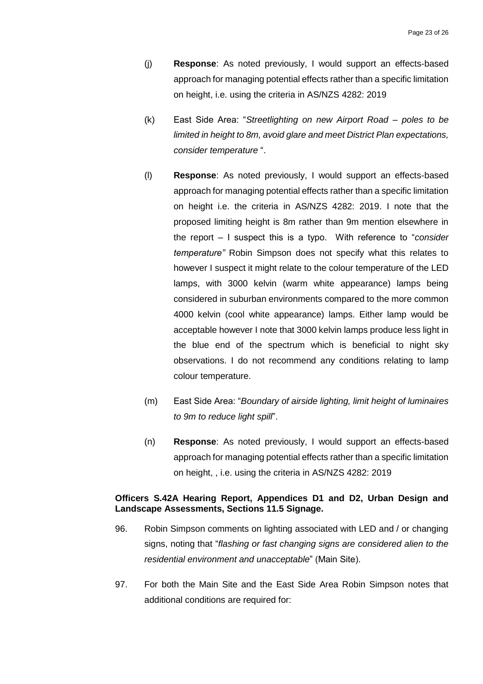- (j) **Response**: As noted previously, I would support an effects-based approach for managing potential effects rather than a specific limitation on height, i.e. using the criteria in AS/NZS 4282: 2019
- (k) East Side Area: "*Streetlighting on new Airport Road – poles to be limited in height to 8m, avoid glare and meet District Plan expectations, consider temperature* ".
- (l) **Response**: As noted previously, I would support an effects-based approach for managing potential effects rather than a specific limitation on height i.e. the criteria in AS/NZS 4282: 2019. I note that the proposed limiting height is 8m rather than 9m mention elsewhere in the report – I suspect this is a typo. With reference to "*consider temperature"* Robin Simpson does not specify what this relates to however I suspect it might relate to the colour temperature of the LED lamps, with 3000 kelvin (warm white appearance) lamps being considered in suburban environments compared to the more common 4000 kelvin (cool white appearance) lamps. Either lamp would be acceptable however I note that 3000 kelvin lamps produce less light in the blue end of the spectrum which is beneficial to night sky observations. I do not recommend any conditions relating to lamp colour temperature.
- (m) East Side Area: "*Boundary of airside lighting, limit height of luminaires to 9m to reduce light spill*".
- (n) **Response**: As noted previously, I would support an effects-based approach for managing potential effects rather than a specific limitation on height, , i.e. using the criteria in AS/NZS 4282: 2019

#### **Officers S.42A Hearing Report, Appendices D1 and D2, Urban Design and Landscape Assessments, Sections 11.5 Signage.**

- 96. Robin Simpson comments on lighting associated with LED and / or changing signs, noting that "*flashing or fast changing signs are considered alien to the residential environment and unacceptable*" (Main Site).
- 97. For both the Main Site and the East Side Area Robin Simpson notes that additional conditions are required for: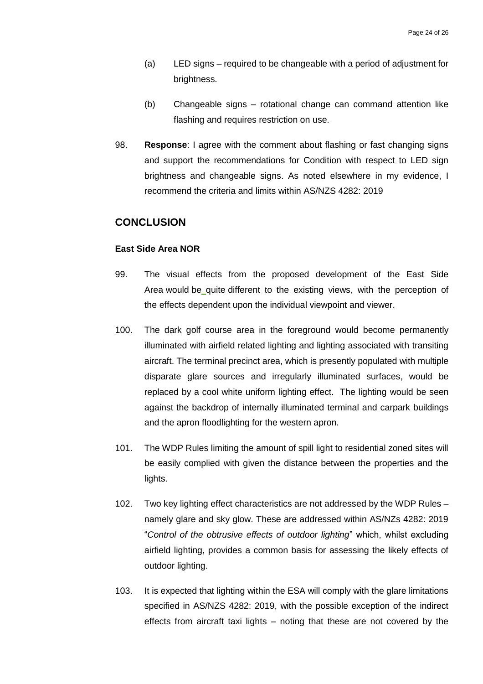- (a) LED signs required to be changeable with a period of adjustment for brightness.
- (b) Changeable signs rotational change can command attention like flashing and requires restriction on use.
- 98. **Response**: I agree with the comment about flashing or fast changing signs and support the recommendations for Condition with respect to LED sign brightness and changeable signs. As noted elsewhere in my evidence, I recommend the criteria and limits within AS/NZS 4282: 2019

## <span id="page-25-0"></span>**CONCLUSION**

#### **East Side Area NOR**

- 99. The visual effects from the proposed development of the East Side Area would be quite different to the existing views, with the perception of the effects dependent upon the individual viewpoint and viewer.
- 100. The dark golf course area in the foreground would become permanently illuminated with airfield related lighting and lighting associated with transiting aircraft. The terminal precinct area, which is presently populated with multiple disparate glare sources and irregularly illuminated surfaces, would be replaced by a cool white uniform lighting effect. The lighting would be seen against the backdrop of internally illuminated terminal and carpark buildings and the apron floodlighting for the western apron.
- 101. The WDP Rules limiting the amount of spill light to residential zoned sites will be easily complied with given the distance between the properties and the lights.
- 102. Two key lighting effect characteristics are not addressed by the WDP Rules namely glare and sky glow. These are addressed within AS/NZs 4282: 2019 "*Control of the obtrusive effects of outdoor lighting*" which, whilst excluding airfield lighting, provides a common basis for assessing the likely effects of outdoor lighting.
- 103. It is expected that lighting within the ESA will comply with the glare limitations specified in AS/NZS 4282: 2019, with the possible exception of the indirect effects from aircraft taxi lights – noting that these are not covered by the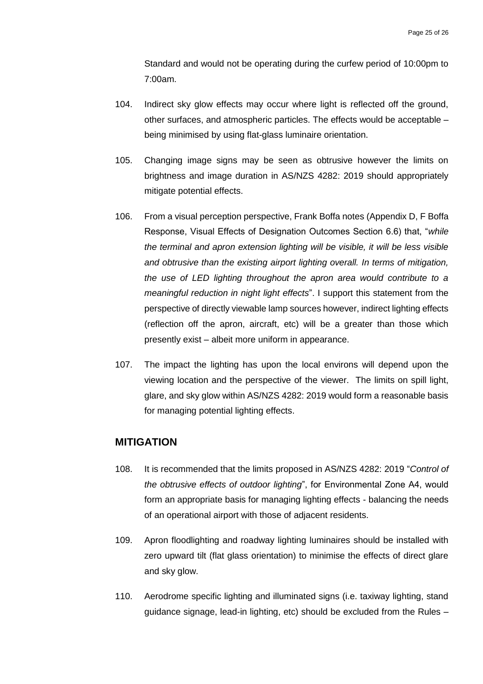Standard and would not be operating during the curfew period of 10:00pm to 7:00am.

- 104. Indirect sky glow effects may occur where light is reflected off the ground, other surfaces, and atmospheric particles. The effects would be acceptable – being minimised by using flat-glass luminaire orientation.
- 105. Changing image signs may be seen as obtrusive however the limits on brightness and image duration in AS/NZS 4282: 2019 should appropriately mitigate potential effects.
- 106. From a visual perception perspective, Frank Boffa notes (Appendix D, F Boffa Response, Visual Effects of Designation Outcomes Section 6.6) that, "*while the terminal and apron extension lighting will be visible, it will be less visible and obtrusive than the existing airport lighting overall. In terms of mitigation, the use of LED lighting throughout the apron area would contribute to a meaningful reduction in night light effects*". I support this statement from the perspective of directly viewable lamp sources however, indirect lighting effects (reflection off the apron, aircraft, etc) will be a greater than those which presently exist – albeit more uniform in appearance.
- 107. The impact the lighting has upon the local environs will depend upon the viewing location and the perspective of the viewer. The limits on spill light, glare, and sky glow within AS/NZS 4282: 2019 would form a reasonable basis for managing potential lighting effects.

## <span id="page-26-0"></span>**MITIGATION**

- 108. It is recommended that the limits proposed in AS/NZS 4282: 2019 "*Control of the obtrusive effects of outdoor lighting*", for Environmental Zone A4, would form an appropriate basis for managing lighting effects - balancing the needs of an operational airport with those of adjacent residents.
- 109. Apron floodlighting and roadway lighting luminaires should be installed with zero upward tilt (flat glass orientation) to minimise the effects of direct glare and sky glow.
- 110. Aerodrome specific lighting and illuminated signs (i.e. taxiway lighting, stand guidance signage, lead-in lighting, etc) should be excluded from the Rules –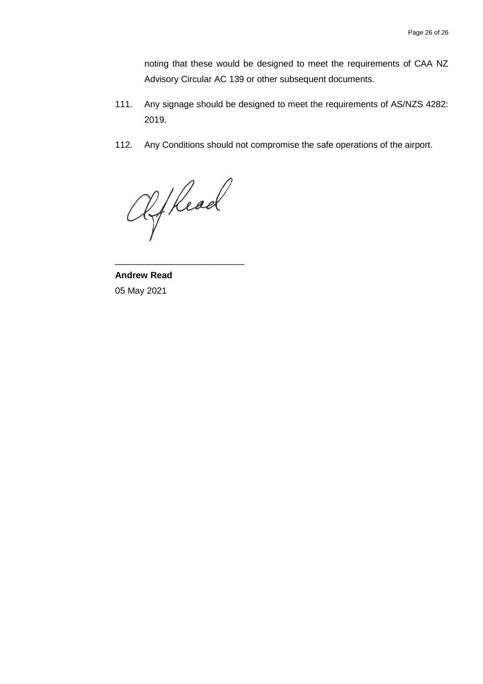noting that these would be designed to meet the requirements of CAA NZ Advisory Circular AC 139 or other subsequent documents.

- 111. Any signage should be designed to meet the requirements of AS/NZS 4282: 2019.
- 112. Any Conditions should not compromise the safe operations of the airport.

Afkead

\_\_\_\_\_\_\_\_\_\_\_\_\_\_\_\_\_\_\_\_\_\_\_\_\_\_

**Andrew Read** 05 May 2021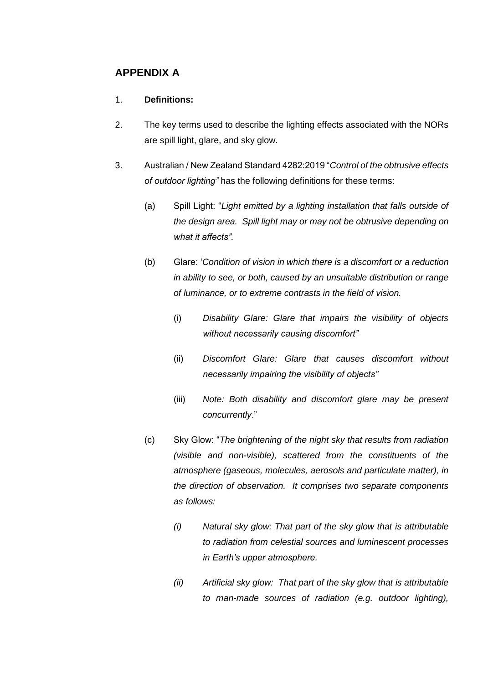# <span id="page-28-0"></span>**APPENDIX A**

# 1. **Definitions:**

- 2. The key terms used to describe the lighting effects associated with the NORs are spill light, glare, and sky glow.
- 3. Australian / New Zealand Standard 4282:2019 "*Control of the obtrusive effects of outdoor lighting"* has the following definitions for these terms:
	- (a) Spill Light: "*Light emitted by a lighting installation that falls outside of the design area. Spill light may or may not be obtrusive depending on what it affects".*
	- (b) Glare: '*Condition of vision in which there is a discomfort or a reduction in ability to see, or both, caused by an unsuitable distribution or range of luminance, or to extreme contrasts in the field of vision.*
		- (i) *Disability Glare: Glare that impairs the visibility of objects without necessarily causing discomfort"*
		- (ii) *Discomfort Glare: Glare that causes discomfort without necessarily impairing the visibility of objects"*
		- (iii) *Note: Both disability and discomfort glare may be present concurrently*."
	- (c) Sky Glow: "*The brightening of the night sky that results from radiation (visible and non-visible), scattered from the constituents of the atmosphere (gaseous, molecules, aerosols and particulate matter), in the direction of observation. It comprises two separate components as follows:*
		- *(i) Natural sky glow: That part of the sky glow that is attributable to radiation from celestial sources and luminescent processes in Earth's upper atmosphere.*
		- *(ii) Artificial sky glow: That part of the sky glow that is attributable to man-made sources of radiation (e.g. outdoor lighting),*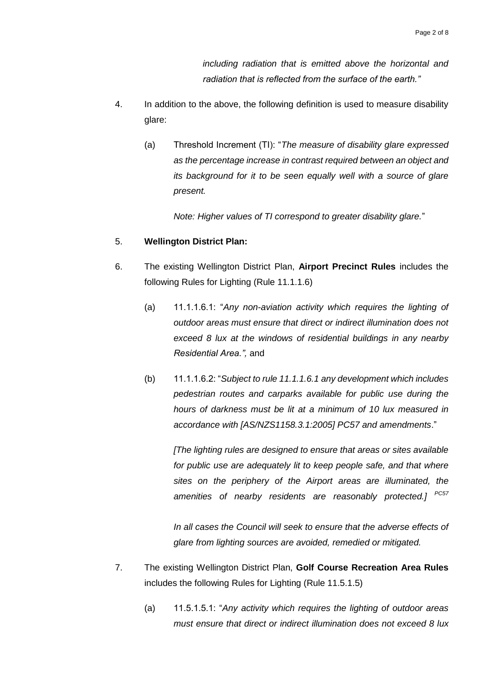*including radiation that is emitted above the horizontal and radiation that is reflected from the surface of the earth."*

- 4. In addition to the above, the following definition is used to measure disability glare:
	- (a) Threshold Increment (TI): "*The measure of disability glare expressed as the percentage increase in contrast required between an object and its background for it to be seen equally well with a source of glare present.*

*Note: Higher values of TI correspond to greater disability glare.*"

#### 5. **Wellington District Plan:**

- 6. The existing Wellington District Plan, **Airport Precinct Rules** includes the following Rules for Lighting (Rule 11.1.1.6)
	- (a) 11.1.1.6.1: "*Any non-aviation activity which requires the lighting of outdoor areas must ensure that direct or indirect illumination does not exceed 8 lux at the windows of residential buildings in any nearby Residential Area.",* and
	- (b) 11.1.1.6.2: "*Subject to rule 11.1.1.6.1 any development which includes pedestrian routes and carparks available for public use during the hours of darkness must be lit at a minimum of 10 lux measured in accordance with [AS/NZS1158.3.1:2005] PC57 and amendments*."

*[The lighting rules are designed to ensure that areas or sites available for public use are adequately lit to keep people safe, and that where sites on the periphery of the Airport areas are illuminated, the amenities of nearby residents are reasonably protected.] PC57*

In all cases the Council will seek to ensure that the adverse effects of *glare from lighting sources are avoided, remedied or mitigated.*

- 7. The existing Wellington District Plan, **Golf Course Recreation Area Rules** includes the following Rules for Lighting (Rule 11.5.1.5)
	- (a) 11.5.1.5.1: "*Any activity which requires the lighting of outdoor areas must ensure that direct or indirect illumination does not exceed 8 lux*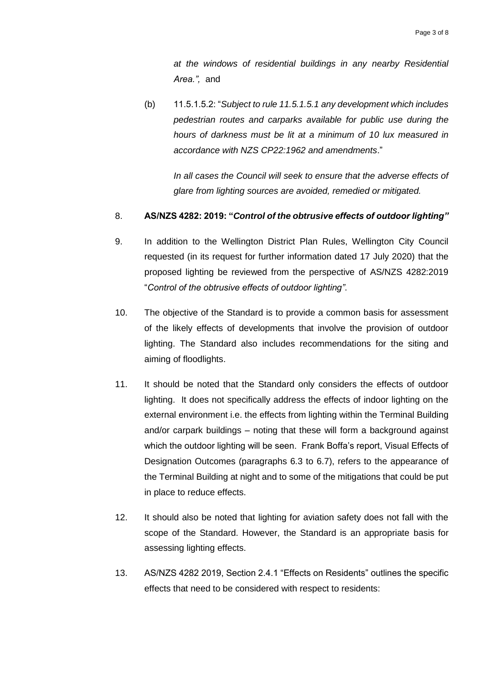*at the windows of residential buildings in any nearby Residential Area.",* and

(b) 11.5.1.5.2: "*Subject to rule 11.5.1.5.1 any development which includes pedestrian routes and carparks available for public use during the hours of darkness must be lit at a minimum of 10 lux measured in accordance with NZS CP22:1962 and amendments*."

*In all cases the Council will seek to ensure that the adverse effects of glare from lighting sources are avoided, remedied or mitigated.*

#### 8. **AS/NZS 4282: 2019: "***Control of the obtrusive effects of outdoor lighting"*

- 9. In addition to the Wellington District Plan Rules, Wellington City Council requested (in its request for further information dated 17 July 2020) that the proposed lighting be reviewed from the perspective of AS/NZS 4282:2019 "*Control of the obtrusive effects of outdoor lighting"*.
- 10. The objective of the Standard is to provide a common basis for assessment of the likely effects of developments that involve the provision of outdoor lighting. The Standard also includes recommendations for the siting and aiming of floodlights.
- 11. It should be noted that the Standard only considers the effects of outdoor lighting. It does not specifically address the effects of indoor lighting on the external environment i.e. the effects from lighting within the Terminal Building and/or carpark buildings – noting that these will form a background against which the outdoor lighting will be seen. Frank Boffa's report, Visual Effects of Designation Outcomes (paragraphs 6.3 to 6.7), refers to the appearance of the Terminal Building at night and to some of the mitigations that could be put in place to reduce effects.
- 12. It should also be noted that lighting for aviation safety does not fall with the scope of the Standard. However, the Standard is an appropriate basis for assessing lighting effects.
- 13. AS/NZS 4282 2019, Section 2.4.1 "Effects on Residents" outlines the specific effects that need to be considered with respect to residents: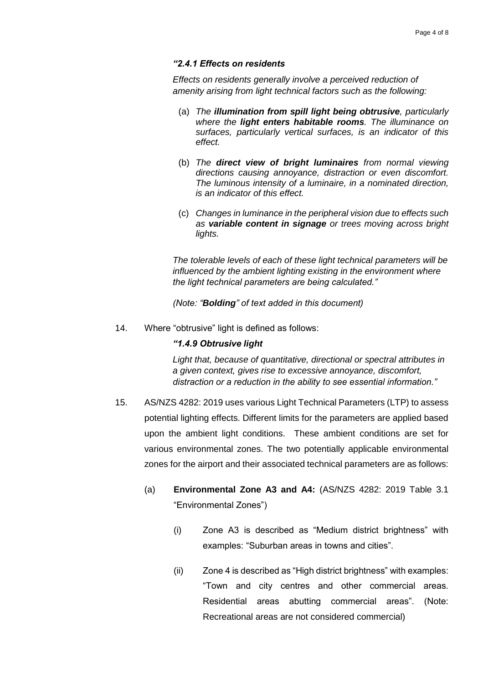#### *"2.4.1 Effects on residents*

*Effects on residents generally involve a perceived reduction of amenity arising from light technical factors such as the following:* 

- (a) *The illumination from spill light being obtrusive, particularly where the light enters habitable rooms. The illuminance on surfaces, particularly vertical surfaces, is an indicator of this effect.*
- (b) *The direct view of bright luminaires from normal viewing directions causing annoyance, distraction or even discomfort. The luminous intensity of a luminaire, in a nominated direction, is an indicator of this effect.*
- (c) *Changes in luminance in the peripheral vision due to effects such as variable content in signage or trees moving across bright lights.*

*The tolerable levels of each of these light technical parameters will be influenced by the ambient lighting existing in the environment where the light technical parameters are being calculated."*

*(Note: "Bolding" of text added in this document)*

14. Where "obtrusive" light is defined as follows:

#### *"1.4.9 Obtrusive light*

*Light that, because of quantitative, directional or spectral attributes in a given context, gives rise to excessive annoyance, discomfort, distraction or a reduction in the ability to see essential information."*

- 15. AS/NZS 4282: 2019 uses various Light Technical Parameters (LTP) to assess potential lighting effects. Different limits for the parameters are applied based upon the ambient light conditions. These ambient conditions are set for various environmental zones. The two potentially applicable environmental zones for the airport and their associated technical parameters are as follows:
	- (a) **Environmental Zone A3 and A4:** (AS/NZS 4282: 2019 Table 3.1 "Environmental Zones")
		- (i) Zone A3 is described as "Medium district brightness" with examples: "Suburban areas in towns and cities".
		- (ii) Zone 4 is described as "High district brightness" with examples: "Town and city centres and other commercial areas. Residential areas abutting commercial areas". (Note: Recreational areas are not considered commercial)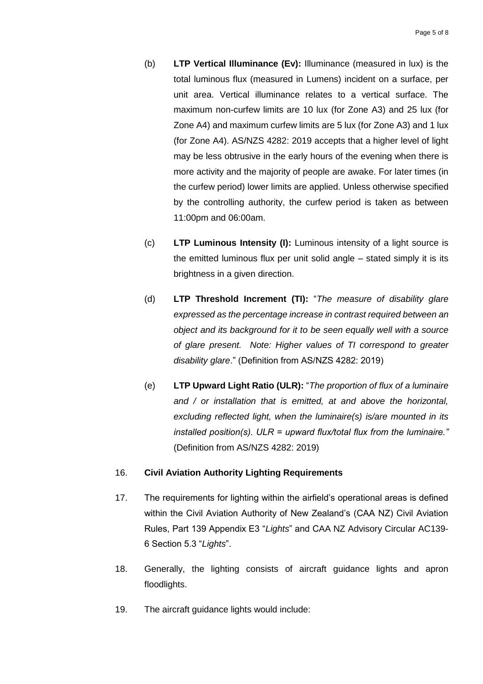- (b) **LTP Vertical Illuminance (Ev):** Illuminance (measured in lux) is the total luminous flux (measured in Lumens) incident on a surface, per unit area. Vertical illuminance relates to a vertical surface. The maximum non-curfew limits are 10 lux (for Zone A3) and 25 lux (for Zone A4) and maximum curfew limits are 5 lux (for Zone A3) and 1 lux (for Zone A4). AS/NZS 4282: 2019 accepts that a higher level of light may be less obtrusive in the early hours of the evening when there is more activity and the majority of people are awake. For later times (in the curfew period) lower limits are applied. Unless otherwise specified by the controlling authority, the curfew period is taken as between 11:00pm and 06:00am.
- (c) **LTP Luminous Intensity (I):** Luminous intensity of a light source is the emitted luminous flux per unit solid angle – stated simply it is its brightness in a given direction.
- (d) **LTP Threshold Increment (TI):** "*The measure of disability glare expressed as the percentage increase in contrast required between an object and its background for it to be seen equally well with a source of glare present. Note: Higher values of TI correspond to greater disability glare*." (Definition from AS/NZS 4282: 2019)
- (e) **LTP Upward Light Ratio (ULR):** "*The proportion of flux of a luminaire and / or installation that is emitted, at and above the horizontal, excluding reflected light, when the luminaire(s) is/are mounted in its installed position(s). ULR = upward flux/total flux from the luminaire."* (Definition from AS/NZS 4282: 2019)

#### 16. **Civil Aviation Authority Lighting Requirements**

- 17. The requirements for lighting within the airfield's operational areas is defined within the Civil Aviation Authority of New Zealand's (CAA NZ) Civil Aviation Rules, Part 139 Appendix E3 "*Lights*" and CAA NZ Advisory Circular AC139- 6 Section 5.3 "*Lights*".
- 18. Generally, the lighting consists of aircraft guidance lights and apron floodlights.
- 19. The aircraft guidance lights would include: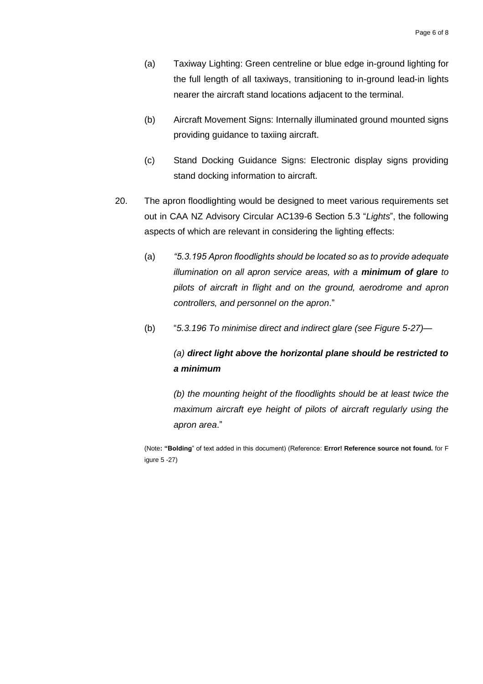- (a) Taxiway Lighting: Green centreline or blue edge in-ground lighting for the full length of all taxiways, transitioning to in-ground lead-in lights nearer the aircraft stand locations adjacent to the terminal.
- (b) Aircraft Movement Signs: Internally illuminated ground mounted signs providing guidance to taxiing aircraft.
- (c) Stand Docking Guidance Signs: Electronic display signs providing stand docking information to aircraft.
- 20. The apron floodlighting would be designed to meet various requirements set out in CAA NZ Advisory Circular AC139-6 Section 5.3 "*Lights*", the following aspects of which are relevant in considering the lighting effects:
	- (a) *"5.3.195 Apron floodlights should be located so as to provide adequate illumination on all apron service areas, with a minimum of glare to pilots of aircraft in flight and on the ground, aerodrome and apron controllers, and personnel on the apron*."
	- (b) "*5.3.196 To minimise direct and indirect glare (see Figure 5-27)—*

# *(a) direct light above the horizontal plane should be restricted to a minimum*

*(b) the mounting height of the floodlights should be at least twice the maximum aircraft eye height of pilots of aircraft regularly using the apron area*."

(Note**: "Bolding**" of text added in this document) (Reference: **Error! Reference source not found.** for F igure 5 -27)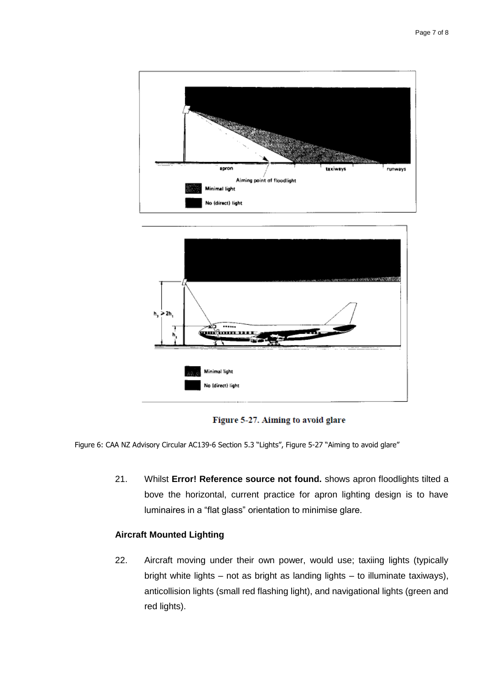

Figure 5-27. Aiming to avoid glare

Figure 6: CAA NZ Advisory Circular AC139-6 Section 5.3 "Lights", Figure 5-27 "Aiming to avoid glare"

21. Whilst **Error! Reference source not found.** shows apron floodlights tilted a bove the horizontal, current practice for apron lighting design is to have luminaires in a "flat glass" orientation to minimise glare.

#### **Aircraft Mounted Lighting**

22. Aircraft moving under their own power, would use; taxiing lights (typically bright white lights – not as bright as landing lights – to illuminate taxiways), anticollision lights (small red flashing light), and navigational lights (green and red lights).